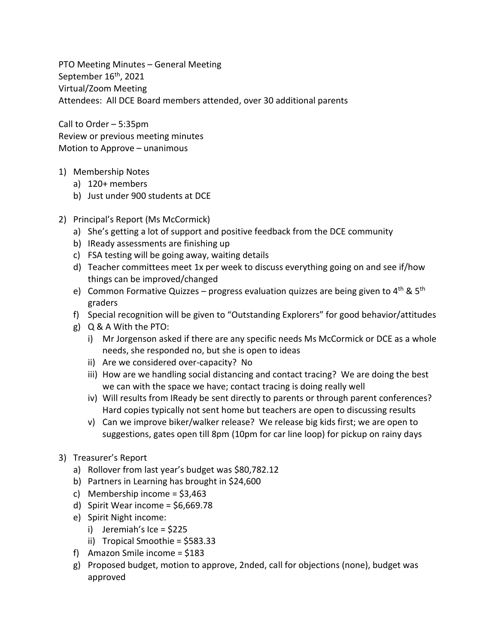PTO Meeting Minutes – General Meeting September 16<sup>th</sup>, 2021 Virtual/Zoom Meeting Attendees: All DCE Board members attended, over 30 additional parents

Call to Order – 5:35pm Review or previous meeting minutes Motion to Approve – unanimous

- 1) Membership Notes
	- a) 120+ members
	- b) Just under 900 students at DCE
- 2) Principal's Report (Ms McCormick)
	- a) She's getting a lot of support and positive feedback from the DCE community
	- b) IReady assessments are finishing up
	- c) FSA testing will be going away, waiting details
	- d) Teacher committees meet 1x per week to discuss everything going on and see if/how things can be improved/changed
	- e) Common Formative Quizzes progress evaluation quizzes are being given to  $4^{\text{th}}$  &  $5^{\text{th}}$ graders
	- f) Special recognition will be given to "Outstanding Explorers" for good behavior/attitudes
	- g) Q & A With the PTO:
		- i) Mr Jorgenson asked if there are any specific needs Ms McCormick or DCE as a whole needs, she responded no, but she is open to ideas
		- ii) Are we considered over-capacity? No
		- iii) How are we handling social distancing and contact tracing? We are doing the best we can with the space we have; contact tracing is doing really well
		- iv) Will results from IReady be sent directly to parents or through parent conferences? Hard copies typically not sent home but teachers are open to discussing results
		- v) Can we improve biker/walker release? We release big kids first; we are open to suggestions, gates open till 8pm (10pm for car line loop) for pickup on rainy days
- 3) Treasurer's Report
	- a) Rollover from last year's budget was \$80,782.12
	- b) Partners in Learning has brought in \$24,600
	- c) Membership income  $=$  \$3,463
	- d) Spirit Wear income =  $$6,669.78$
	- e) Spirit Night income:
		- i) Jeremiah's Ice = \$225
		- ii) Tropical Smoothie = \$583.33
	- f) Amazon Smile income = \$183
	- g) Proposed budget, motion to approve, 2nded, call for objections (none), budget was approved